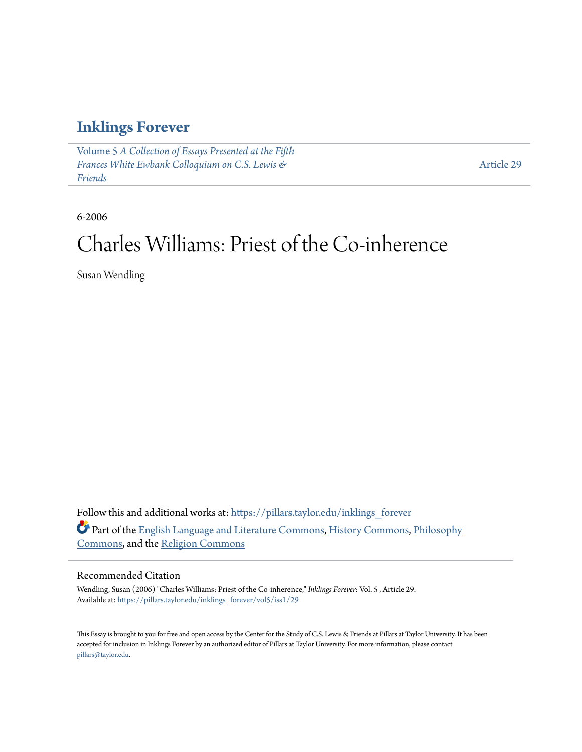### **[Inklings Forever](https://pillars.taylor.edu/inklings_forever?utm_source=pillars.taylor.edu%2Finklings_forever%2Fvol5%2Fiss1%2F29&utm_medium=PDF&utm_campaign=PDFCoverPages)**

Volume 5 *[A Collection of Essays Presented at the Fifth](https://pillars.taylor.edu/inklings_forever/vol5?utm_source=pillars.taylor.edu%2Finklings_forever%2Fvol5%2Fiss1%2F29&utm_medium=PDF&utm_campaign=PDFCoverPages) [Frances White Ewbank Colloquium on C.S. Lewis &](https://pillars.taylor.edu/inklings_forever/vol5?utm_source=pillars.taylor.edu%2Finklings_forever%2Fvol5%2Fiss1%2F29&utm_medium=PDF&utm_campaign=PDFCoverPages) [Friends](https://pillars.taylor.edu/inklings_forever/vol5?utm_source=pillars.taylor.edu%2Finklings_forever%2Fvol5%2Fiss1%2F29&utm_medium=PDF&utm_campaign=PDFCoverPages)*

[Article 29](https://pillars.taylor.edu/inklings_forever/vol5/iss1/29?utm_source=pillars.taylor.edu%2Finklings_forever%2Fvol5%2Fiss1%2F29&utm_medium=PDF&utm_campaign=PDFCoverPages)

6-2006

# Charles Williams: Priest of the Co-inherence

Susan Wendling

Follow this and additional works at: [https://pillars.taylor.edu/inklings\\_forever](https://pillars.taylor.edu/inklings_forever?utm_source=pillars.taylor.edu%2Finklings_forever%2Fvol5%2Fiss1%2F29&utm_medium=PDF&utm_campaign=PDFCoverPages) Part of the [English Language and Literature Commons](http://network.bepress.com/hgg/discipline/455?utm_source=pillars.taylor.edu%2Finklings_forever%2Fvol5%2Fiss1%2F29&utm_medium=PDF&utm_campaign=PDFCoverPages), [History Commons,](http://network.bepress.com/hgg/discipline/489?utm_source=pillars.taylor.edu%2Finklings_forever%2Fvol5%2Fiss1%2F29&utm_medium=PDF&utm_campaign=PDFCoverPages) [Philosophy](http://network.bepress.com/hgg/discipline/525?utm_source=pillars.taylor.edu%2Finklings_forever%2Fvol5%2Fiss1%2F29&utm_medium=PDF&utm_campaign=PDFCoverPages) [Commons,](http://network.bepress.com/hgg/discipline/525?utm_source=pillars.taylor.edu%2Finklings_forever%2Fvol5%2Fiss1%2F29&utm_medium=PDF&utm_campaign=PDFCoverPages) and the [Religion Commons](http://network.bepress.com/hgg/discipline/538?utm_source=pillars.taylor.edu%2Finklings_forever%2Fvol5%2Fiss1%2F29&utm_medium=PDF&utm_campaign=PDFCoverPages)

### Recommended Citation

Wendling, Susan (2006) "Charles Williams: Priest of the Co-inherence," *Inklings Forever*: Vol. 5 , Article 29. Available at: [https://pillars.taylor.edu/inklings\\_forever/vol5/iss1/29](https://pillars.taylor.edu/inklings_forever/vol5/iss1/29?utm_source=pillars.taylor.edu%2Finklings_forever%2Fvol5%2Fiss1%2F29&utm_medium=PDF&utm_campaign=PDFCoverPages)

This Essay is brought to you for free and open access by the Center for the Study of C.S. Lewis & Friends at Pillars at Taylor University. It has been accepted for inclusion in Inklings Forever by an authorized editor of Pillars at Taylor University. For more information, please contact [pillars@taylor.edu.](mailto:pillars@taylor.edu)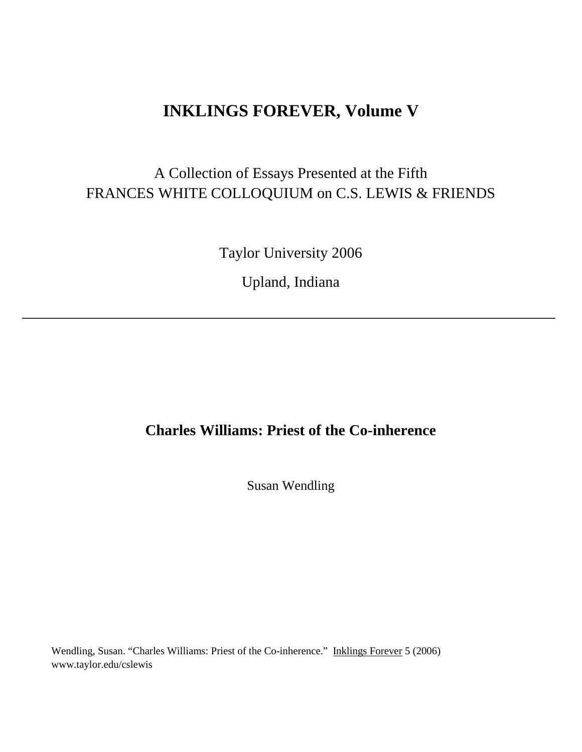## **INKLINGS FOREVER, Volume V**

# A Collection of Essays Presented at the Fifth FRANCES WHITE COLLOQUIUM on C.S. LEWIS & FRIENDS

Taylor University 2006

Upland, Indiana

### **Charles Williams: Priest of the Co-inherence**

Susan Wendling

Wendling, Susan. "Charles Williams: Priest of the Co-inherence." Inklings Forever 5 (2006) www.taylor.edu/cslewis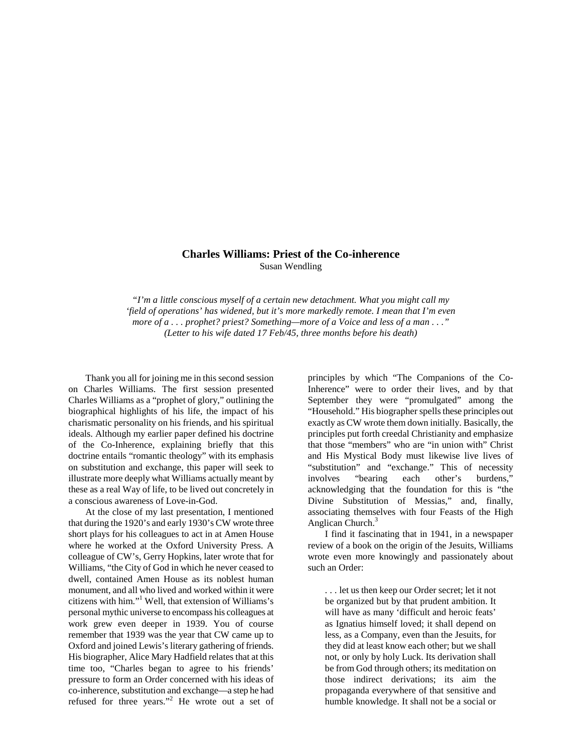#### **Charles Williams: Priest of the Co-inherence** Susan Wendling

*"I'm a little conscious myself of a certain new detachment. What you might call my 'field of operations' has widened, but it's more markedly remote. I mean that I'm even more of a . . . prophet? priest? Something—more of a Voice and less of a man . . ." (Letter to his wife dated 17 Feb/45, three months before his death)*

Thank you all for joining me in this second session on Charles Williams. The first session presented Charles Williams as a "prophet of glory," outlining the biographical highlights of his life, the impact of his charismatic personality on his friends, and his spiritual ideals. Although my earlier paper defined his doctrine of the Co-Inherence, explaining briefly that this doctrine entails "romantic theology" with its emphasis on substitution and exchange, this paper will seek to illustrate more deeply what Williams actually meant by these as a real Way of life, to be lived out concretely in a conscious awareness of Love-in-God.

At the close of my last presentation, I mentioned that during the 1920's and early 1930's CW wrote three short plays for his colleagues to act in at Amen House where he worked at the Oxford University Press. A colleague of CW's, Gerry Hopkins, later wrote that for Williams, "the City of God in which he never ceased to dwell, contained Amen House as its noblest human monument, and all who lived and worked within it were citizens with him."<sup>1</sup> Well, that extension of Williams's personal mythic universe to encompass his colleagues at work grew even deeper in 1939. You of course remember that 1939 was the year that CW came up to Oxford and joined Lewis's literary gathering of friends. His biographer, Alice Mary Hadfield relates that at this time too, "Charles began to agree to his friends' pressure to form an Order concerned with his ideas of co-inherence, substitution and exchange—a step he had refused for three years."<sup>2</sup> He wrote out a set of

principles by which "The Companions of the Co-Inherence" were to order their lives, and by that September they were "promulgated" among the "Household." His biographer spells these principles out exactly as CW wrote them down initially. Basically, the principles put forth creedal Christianity and emphasize that those "members" who are "in union with" Christ and His Mystical Body must likewise live lives of "substitution" and "exchange." This of necessity involves "bearing each other's burdens," acknowledging that the foundation for this is "the Divine Substitution of Messias," and, finally, associating themselves with four Feasts of the High Anglican Church.<sup>3</sup>

I find it fascinating that in 1941, in a newspaper review of a book on the origin of the Jesuits, Williams wrote even more knowingly and passionately about such an Order:

. . . let us then keep our Order secret; let it not be organized but by that prudent ambition. It will have as many 'difficult and heroic feats' as Ignatius himself loved; it shall depend on less, as a Company, even than the Jesuits, for they did at least know each other; but we shall not, or only by holy Luck. Its derivation shall be from God through others; its meditation on those indirect derivations; its aim the propaganda everywhere of that sensitive and humble knowledge. It shall not be a social or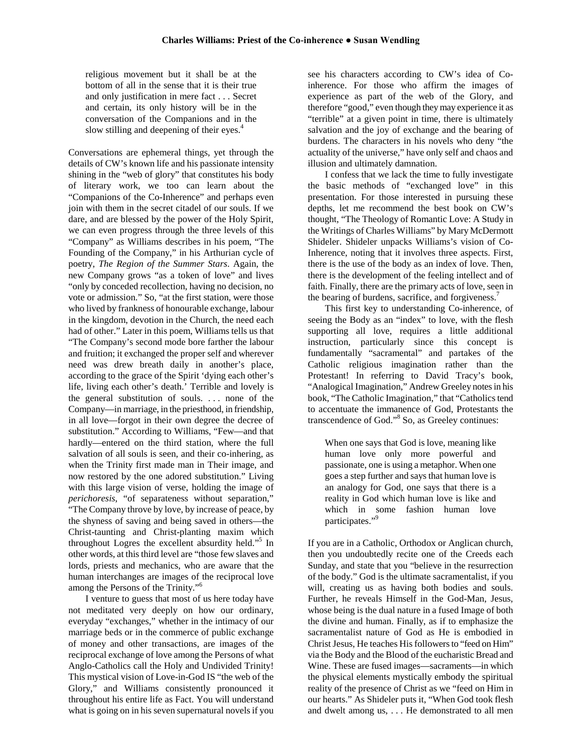religious movement but it shall be at the bottom of all in the sense that it is their true and only justification in mere fact . . . Secret and certain, its only history will be in the conversation of the Companions and in the slow stilling and deepening of their eyes.<sup>4</sup>

Conversations are ephemeral things, yet through the details of CW's known life and his passionate intensity shining in the "web of glory" that constitutes his body of literary work, we too can learn about the "Companions of the Co-Inherence" and perhaps even join with them in the secret citadel of our souls. If we dare, and are blessed by the power of the Holy Spirit, we can even progress through the three levels of this "Company" as Williams describes in his poem, "The Founding of the Company," in his Arthurian cycle of poetry, *The Region of the Summer Stars*. Again, the new Company grows "as a token of love" and lives "only by conceded recollection, having no decision, no vote or admission." So, "at the first station, were those who lived by frankness of honourable exchange, labour in the kingdom, devotion in the Church, the need each had of other." Later in this poem, Williams tells us that "The Company's second mode bore farther the labour and fruition; it exchanged the proper self and wherever need was drew breath daily in another's place, according to the grace of the Spirit 'dying each other's life, living each other's death.' Terrible and lovely is the general substitution of souls. . . . none of the Company—in marriage, in the priesthood, in friendship, in all love—forgot in their own degree the decree of substitution." According to Williams, "Few—and that hardly—entered on the third station, where the full salvation of all souls is seen, and their co-inhering, as when the Trinity first made man in Their image, and now restored by the one adored substitution." Living with this large vision of verse, holding the image of *perichoresis*, "of separateness without separation," "The Company throve by love, by increase of peace, by the shyness of saving and being saved in others—the Christ-taunting and Christ-planting maxim which throughout Logres the excellent absurdity held."<sup>5</sup> In other words, at this third level are "those few slaves and lords, priests and mechanics, who are aware that the human interchanges are images of the reciprocal love among the Persons of the Trinity."<sup>6</sup>

I venture to guess that most of us here today have not meditated very deeply on how our ordinary, everyday "exchanges," whether in the intimacy of our marriage beds or in the commerce of public exchange of money and other transactions, are images of the reciprocal exchange of love among the Persons of what Anglo-Catholics call the Holy and Undivided Trinity! This mystical vision of Love-in-God IS "the web of the Glory," and Williams consistently pronounced it throughout his entire life as Fact. You will understand what is going on in his seven supernatural novels if you

see his characters according to CW's idea of Coinherence. For those who affirm the images of experience as part of the web of the Glory, and therefore "good," even though they may experience it as "terrible" at a given point in time, there is ultimately salvation and the joy of exchange and the bearing of burdens. The characters in his novels who deny "the actuality of the universe," have only self and chaos and illusion and ultimately damnation.

I confess that we lack the time to fully investigate the basic methods of "exchanged love" in this presentation. For those interested in pursuing these depths, let me recommend the best book on CW's thought, "The Theology of Romantic Love: A Study in the Writings of Charles Williams" by Mary McDermott Shideler. Shideler unpacks Williams's vision of Co-Inherence, noting that it involves three aspects. First, there is the use of the body as an index of love. Then, there is the development of the feeling intellect and of faith. Finally, there are the primary acts of love, seen in the bearing of burdens, sacrifice, and forgiveness.<sup>7</sup>

This first key to understanding Co-inherence, of seeing the Body as an "index" to love, with the flesh supporting all love, requires a little additional instruction, particularly since this concept is fundamentally "sacramental" and partakes of the Catholic religious imagination rather than the Protestant! In referring to David Tracy's book, "Analogical Imagination," Andrew Greeley notes in his book, "The Catholic Imagination," that "Catholics tend to accentuate the immanence of God, Protestants the transcendence of God."<sup>8</sup> So, as Greeley continues:

When one says that God is love, meaning like human love only more powerful and passionate, one is using a metaphor. When one goes a step further and says that human love is an analogy for God, one says that there is a reality in God which human love is like and which in some fashion human love participates."<sup>9</sup>

If you are in a Catholic, Orthodox or Anglican church, then you undoubtedly recite one of the Creeds each Sunday, and state that you "believe in the resurrection of the body." God is the ultimate sacramentalist, if you will, creating us as having both bodies and souls. Further, he reveals Himself in the God-Man, Jesus, whose being is the dual nature in a fused Image of both the divine and human. Finally, as if to emphasize the sacramentalist nature of God as He is embodied in Christ Jesus, He teaches His followers to "feed on Him" via the Body and the Blood of the eucharistic Bread and Wine. These are fused images—sacraments—in which the physical elements mystically embody the spiritual reality of the presence of Christ as we "feed on Him in our hearts." As Shideler puts it, "When God took flesh and dwelt among us, . . . He demonstrated to all men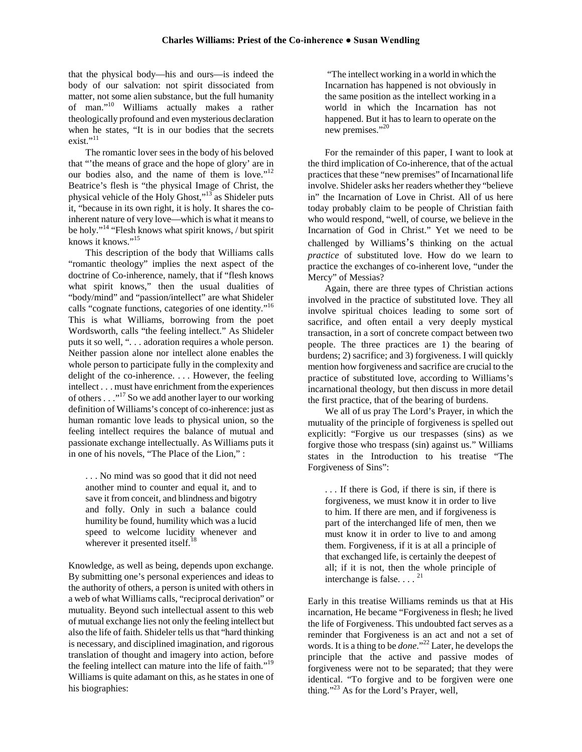that the physical body—his and ours—is indeed the body of our salvation: not spirit dissociated from matter, not some alien substance, but the full humanity of man."<sup>10</sup> Williams actually makes a rather theologically profound and even mysterious declaration when he states, "It is in our bodies that the secrets exist."<sup>11</sup>

The romantic lover sees in the body of his beloved that "'the means of grace and the hope of glory' are in our bodies also, and the name of them is love."<sup>12</sup> Beatrice's flesh is "the physical Image of Christ, the physical vehicle of the Holy Ghost," $13$  as Shideler puts it, "because in its own right, it is holy. It shares the coinherent nature of very love—which is what it means to be holy."<sup>14</sup> "Flesh knows what spirit knows, / but spirit knows it knows."<sup>15</sup>

This description of the body that Williams calls "romantic theology" implies the next aspect of the doctrine of Co-inherence, namely, that if "flesh knows what spirit knows," then the usual dualities of "body/mind" and "passion/intellect" are what Shideler calls "cognate functions, categories of one identity."<sup>16</sup> This is what Williams, borrowing from the poet Wordsworth, calls "the feeling intellect." As Shideler puts it so well, ". . . adoration requires a whole person. Neither passion alone nor intellect alone enables the whole person to participate fully in the complexity and delight of the co-inherence. . . . However, the feeling intellect . . . must have enrichment from the experiences of others . . ."<sup>17</sup> So we add another layer to our working definition of Williams's concept of co-inherence: just as human romantic love leads to physical union, so the feeling intellect requires the balance of mutual and passionate exchange intellectually. As Williams puts it in one of his novels, "The Place of the Lion," :

. . . No mind was so good that it did not need another mind to counter and equal it, and to save it from conceit, and blindness and bigotry and folly. Only in such a balance could humility be found, humility which was a lucid speed to welcome lucidity whenever and wherever it presented itself.<sup>18</sup>

Knowledge, as well as being, depends upon exchange. By submitting one's personal experiences and ideas to the authority of others, a person is united with others in a web of what Williams calls, "reciprocal derivation" or mutuality. Beyond such intellectual assent to this web of mutual exchange lies not only the feeling intellect but also the life of faith. Shideler tells us that "hard thinking is necessary, and disciplined imagination, and rigorous translation of thought and imagery into action, before the feeling intellect can mature into the life of faith."<sup>19</sup> Williams is quite adamant on this, as he states in one of his biographies:

"The intellect working in a world in which the Incarnation has happened is not obviously in the same position as the intellect working in a world in which the Incarnation has not happened. But it has to learn to operate on the new premises."<sup>20</sup>

For the remainder of this paper, I want to look at the third implication of Co-inherence, that of the actual practices that these "new premises" of Incarnational life involve. Shideler asks her readers whether they "believe in" the Incarnation of Love in Christ. All of us here today probably claim to be people of Christian faith who would respond, "well, of course, we believe in the Incarnation of God in Christ." Yet we need to be challenged by Williams's thinking on the actual *practice* of substituted love. How do we learn to practice the exchanges of co-inherent love, "under the Mercy" of Messias?

Again, there are three types of Christian actions involved in the practice of substituted love. They all involve spiritual choices leading to some sort of sacrifice, and often entail a very deeply mystical transaction, in a sort of concrete compact between two people. The three practices are 1) the bearing of burdens; 2) sacrifice; and 3) forgiveness. I will quickly mention how forgiveness and sacrifice are crucial to the practice of substituted love, according to Williams's incarnational theology, but then discuss in more detail the first practice, that of the bearing of burdens.

We all of us pray The Lord's Prayer, in which the mutuality of the principle of forgiveness is spelled out explicitly: "Forgive us our trespasses (sins) as we forgive those who trespass (sin) against us." Williams states in the Introduction to his treatise "The Forgiveness of Sins":

. . . If there is God, if there is sin, if there is forgiveness, we must know it in order to live to him. If there are men, and if forgiveness is part of the interchanged life of men, then we must know it in order to live to and among them. Forgiveness, if it is at all a principle of that exchanged life, is certainly the deepest of all; if it is not, then the whole principle of interchange is false.  $\ldots$ <sup>21</sup>

Early in this treatise Williams reminds us that at His incarnation, He became "Forgiveness in flesh; he lived the life of Forgiveness. This undoubted fact serves as a reminder that Forgiveness is an act and not a set of words. It is a thing to be *done*."<sup>22</sup> Later, he develops the principle that the active and passive modes of forgiveness were not to be separated; that they were identical. "To forgive and to be forgiven were one thing."<sup>23</sup> As for the Lord's Prayer, well,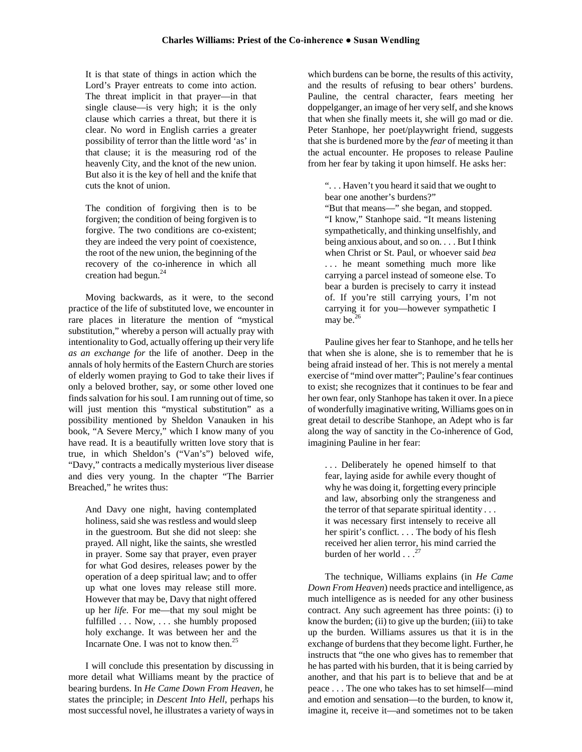It is that state of things in action which the Lord's Prayer entreats to come into action. The threat implicit in that prayer—in that single clause—is very high; it is the only clause which carries a threat, but there it is clear. No word in English carries a greater possibility of terror than the little word 'as' in that clause; it is the measuring rod of the heavenly City, and the knot of the new union. But also it is the key of hell and the knife that cuts the knot of union.

The condition of forgiving then is to be forgiven; the condition of being forgiven is to forgive. The two conditions are co-existent; they are indeed the very point of coexistence, the root of the new union, the beginning of the recovery of the co-inherence in which all creation had begun.<sup>24</sup>

Moving backwards, as it were, to the second practice of the life of substituted love, we encounter in rare places in literature the mention of "mystical substitution," whereby a person will actually pray with intentionality to God, actually offering up their very life *as an exchange for* the life of another. Deep in the annals of holy hermits of the Eastern Church are stories of elderly women praying to God to take their lives if only a beloved brother, say, or some other loved one finds salvation for his soul. I am running out of time, so will just mention this "mystical substitution" as a possibility mentioned by Sheldon Vanauken in his book, "A Severe Mercy," which I know many of you have read. It is a beautifully written love story that is true, in which Sheldon's ("Van's") beloved wife, "Davy," contracts a medically mysterious liver disease and dies very young. In the chapter "The Barrier Breached," he writes thus:

And Davy one night, having contemplated holiness, said she was restless and would sleep in the guestroom. But she did not sleep: she prayed. All night, like the saints, she wrestled in prayer. Some say that prayer, even prayer for what God desires, releases power by the operation of a deep spiritual law; and to offer up what one loves may release still more. However that may be, Davy that night offered up her *life.* For me—that my soul might be fulfilled . . . Now, . . . she humbly proposed holy exchange. It was between her and the Incarnate One. I was not to know then. $25$ 

I will conclude this presentation by discussing in more detail what Williams meant by the practice of bearing burdens. In *He Came Down From Heaven,* he states the principle; in *Descent Into Hell*, perhaps his most successful novel, he illustrates a variety of ways in

which burdens can be borne, the results of this activity, and the results of refusing to bear others' burdens. Pauline, the central character, fears meeting her doppelganger, an image of her very self, and she knows that when she finally meets it, she will go mad or die. Peter Stanhope, her poet/playwright friend, suggests that she is burdened more by the *fear* of meeting it than the actual encounter. He proposes to release Pauline from her fear by taking it upon himself. He asks her:

". . . Haven't you heard it said that we ought to bear one another's burdens?"

"But that means—" she began, and stopped. "I know," Stanhope said. "It means listening sympathetically, and thinking unselfishly, and being anxious about, and so on. . . . But I think when Christ or St. Paul, or whoever said *bea* . . . he meant something much more like carrying a parcel instead of someone else. To bear a burden is precisely to carry it instead of. If you're still carrying yours, I'm not carrying it for you—however sympathetic I may be. $<sup>2</sup>$ </sup>

Pauline gives her fear to Stanhope, and he tells her that when she is alone, she is to remember that he is being afraid instead of her. This is not merely a mental exercise of "mind over matter"; Pauline's fear continues to exist; she recognizes that it continues to be fear and her own fear, only Stanhope has taken it over. In a piece of wonderfully imaginative writing, Williams goes on in great detail to describe Stanhope, an Adept who is far along the way of sanctity in the Co-inherence of God, imagining Pauline in her fear:

. . . Deliberately he opened himself to that fear, laying aside for awhile every thought of why he was doing it, forgetting every principle and law, absorbing only the strangeness and the terror of that separate spiritual identity . . . it was necessary first intensely to receive all her spirit's conflict. . . . The body of his flesh received her alien terror, his mind carried the burden of her world  $\ldots$ <sup>27</sup>

The technique, Williams explains (in *He Came Down From Heaven*) needs practice and intelligence, as much intelligence as is needed for any other business contract. Any such agreement has three points: (i) to know the burden; (ii) to give up the burden; (iii) to take up the burden. Williams assures us that it is in the exchange of burdens that they become light. Further, he instructs that "the one who gives has to remember that he has parted with his burden, that it is being carried by another, and that his part is to believe that and be at peace . . . The one who takes has to set himself—mind and emotion and sensation—to the burden, to know it, imagine it, receive it—and sometimes not to be taken